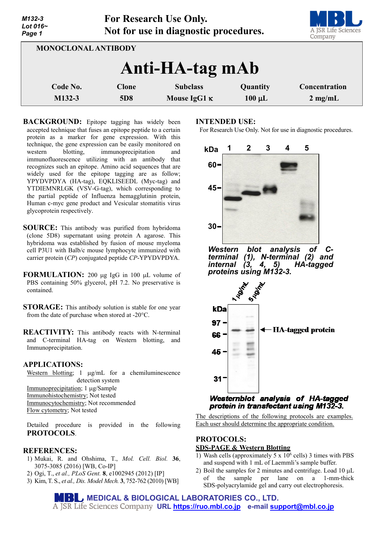| M132-3<br>Lot 016~<br>Page 1 |                            | For Research Use Only.<br>Not for use in diagnostic procedures. |             | A JSR Life Sciences<br>Company |
|------------------------------|----------------------------|-----------------------------------------------------------------|-------------|--------------------------------|
|                              | <b>MONOCLONAL ANTIBODY</b> |                                                                 |             |                                |
|                              |                            | Anti-HA-tag mAb                                                 |             |                                |
| Code No.                     | <b>Clone</b>               | <b>Subclass</b>                                                 | Quantity    | Concentration                  |
| M132-3                       | 5D <sub>8</sub>            | Mouse IgG1 $\kappa$                                             | $100 \mu L$ | $2$ mg/mL                      |

**BACKGROUND:** Epitope tagging has widely been accepted technique that fuses an epitope peptide to a certain protein as a marker for gene expression. With this technique, the gene expression can be easily monitored on western blotting, immunoprecipitation and immunofluorescence utilizing with an antibody that recognizes such an epitope. Amino acid sequences that are widely used for the epitope tagging are as follow; YPYDVPDYA (HA-tag), EQKLISEEDL (Myc-tag) and YTDIEMNRLGK (VSV-G-tag), which corresponding to the partial peptide of Influenza hemagglutinin protein, Human c-myc gene product and Vesicular stomatitis virus glycoprotein respectively.

- **SOURCE:** This antibody was purified from hybridoma (clone 5D8) supernatant using protein A agarose. This hybridoma was established by fusion of mouse myeloma cell P3U1 with Balb/c mouse lymphocyte immunized with carrier protein (*CP*) conjugated peptide *CP*-YPYDVPDYA.
- **FORMULATION:** 200 µg IgG in 100 µL volume of PBS containing 50% glycerol, pH 7.2. No preservative is contained.
- **STORAGE:** This antibody solution is stable for one year from the date of purchase when stored at -20°C.
- **REACTIVITY:** This antibody reacts with N-terminal and C-terminal HA-tag on Western blotting, and Immunoprecipitation.

### **APPLICATIONS:**

Western blotting; 1 µg/mL for a chemiluminescence detection system Immunoprecipitation; 1 µg/Sample Immunohistochemistry; Not tested Immunocytochemistry; Not recommended Flow cytometry; Not tested

Detailed procedure is provided in the following **PROTOCOLS**.

### **REFERENCES:**

- 1) Mukai, R. and Ohshima, T., *Mol. Cell. Biol.* **36**, 3075-3085 (2016) [WB, Co-IP]
- 2) Ogi, T., *et al., PLoS Gent.* **8**, e1002945 (2012) [IP]
- 3) Kim, T. S., *et al., Dis. Model Mech.* **3**, 752-762 (2010) [WB]

#### **INTENDED USE:**

For Research Use Only. Not for use in diagnostic procedures.



*Western blot analysis of C- terminal (1), N-terminal (2) and internal (3, 4, 5) HA-tagged proteins using M132-3.*



### Westernblot analysis of HA-tagged protein in transfectant using M132-3.

The descriptions of the following protocols are examples. Each user should determine the appropriate condition.

# **PROTOCOLS:**

### **SDS-PAGE & Western Blotting**

- 1) Wash cells (approximately 5 x  $10^6$  cells) 3 times with PBS and suspend with 1 mL of Laemmli's sample buffer.
- 2) Boil the samples for 2 minutes and centrifuge. Load 10  $\mu$ L of the sample per lane on a 1-mm-thick SDS-polyacrylamide gel and carry out electrophoresis.

**MEDICAL & BIOLOGICAL LABORATORIES CO., LTD. URL [https://ruo.mbl.co.jp](https://ruo.mbl.co.jp/) e-mail [support@mbl.co.jp](mailto:support@mbl.co.jp)**